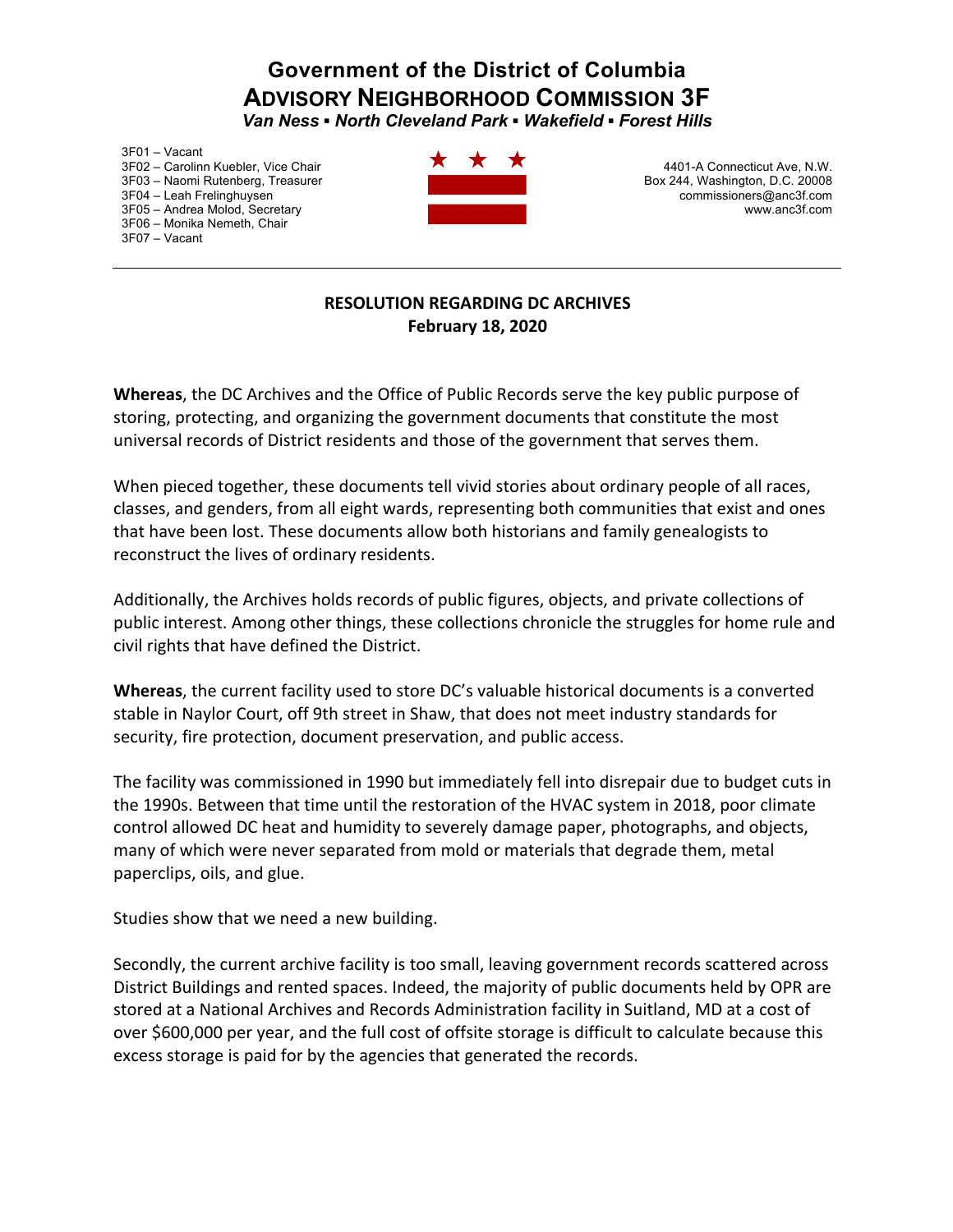## **Government of the District of Columbia ADVISORY NEIGHBORHOOD COMMISSION 3F** *Van Ness ▪ North Cleveland Park ▪ Wakefield ▪ Forest Hills*

3F01 – Vacant 3F02 – Carolinn Kuebler, Vice Chair 3F03 – Naomi Rutenberg, Treasurer 3F04 – Leah Frelinghuysen 3F05 – Andrea Molod, Secretary 3F06 – Monika Nemeth, Chair 3F07 – Vacant



4401-A Connecticut Ave, N.W. Box 244, Washington, D.C. 20008 commissioners@anc3f.com www.anc3f.com

## **RESOLUTION REGARDING DC ARCHIVES February 18, 2020**

**Whereas**, the DC Archives and the Office of Public Records serve the key public purpose of storing, protecting, and organizing the government documents that constitute the most universal records of District residents and those of the government that serves them.

When pieced together, these documents tell vivid stories about ordinary people of all races, classes, and genders, from all eight wards, representing both communities that exist and ones that have been lost. These documents allow both historians and family genealogists to reconstruct the lives of ordinary residents.

Additionally, the Archives holds records of public figures, objects, and private collections of public interest. Among other things, these collections chronicle the struggles for home rule and civil rights that have defined the District.

**Whereas**, the current facility used to store DC's valuable historical documents is a converted stable in Naylor Court, off 9th street in Shaw, that does not meet industry standards for security, fire protection, document preservation, and public access.

The facility was commissioned in 1990 but immediately fell into disrepair due to budget cuts in the 1990s. Between that time until the restoration of the HVAC system in 2018, poor climate control allowed DC heat and humidity to severely damage paper, photographs, and objects, many of which were never separated from mold or materials that degrade them, metal paperclips, oils, and glue.

Studies show that we need a new building.

Secondly, the current archive facility is too small, leaving government records scattered across District Buildings and rented spaces. Indeed, the majority of public documents held by OPR are stored at a National Archives and Records Administration facility in Suitland, MD at a cost of over \$600,000 per year, and the full cost of offsite storage is difficult to calculate because this excess storage is paid for by the agencies that generated the records.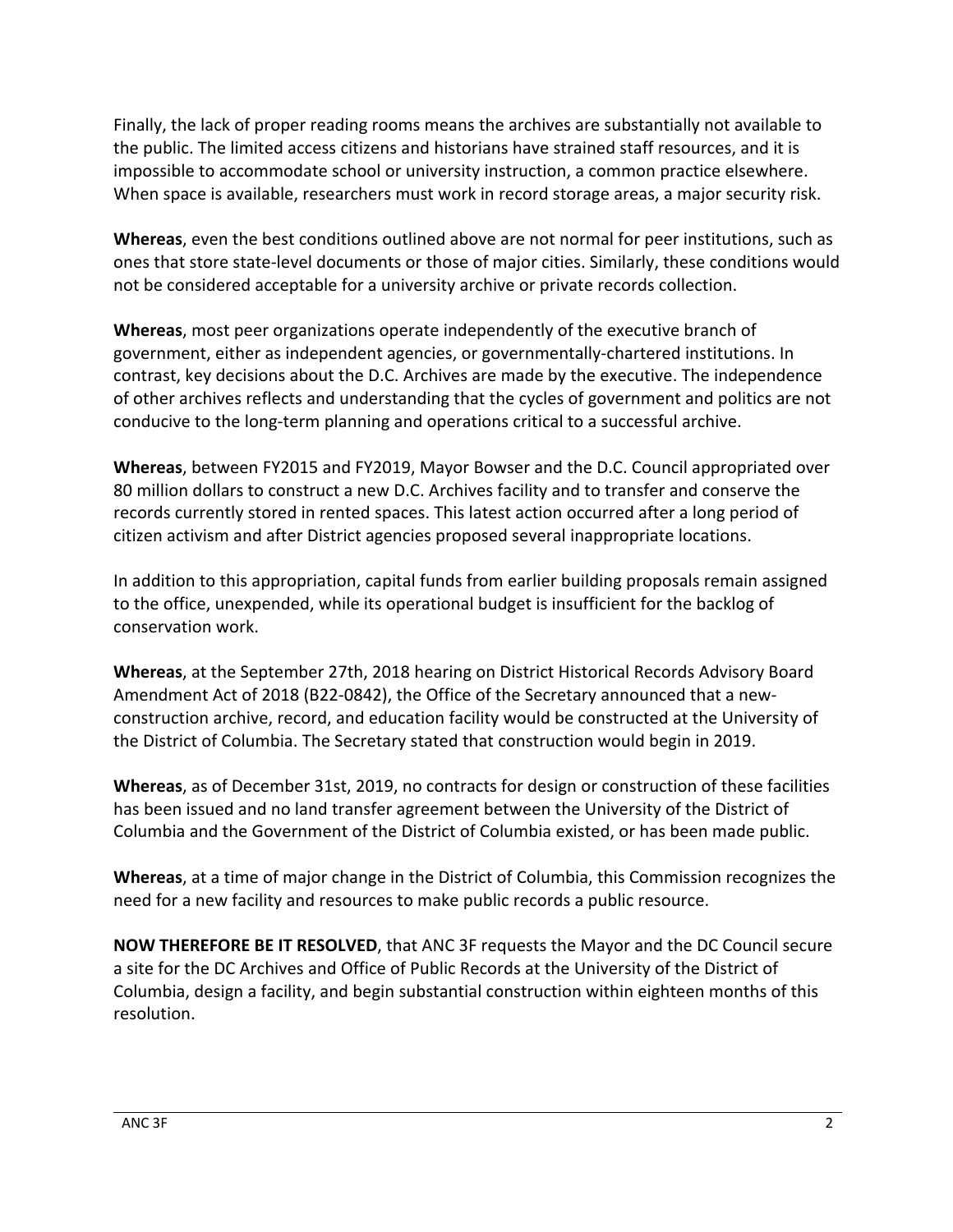Finally, the lack of proper reading rooms means the archives are substantially not available to the public. The limited access citizens and historians have strained staff resources, and it is impossible to accommodate school or university instruction, a common practice elsewhere. When space is available, researchers must work in record storage areas, a major security risk.

**Whereas**, even the best conditions outlined above are not normal for peer institutions, such as ones that store state-level documents or those of major cities. Similarly, these conditions would not be considered acceptable for a university archive or private records collection.

**Whereas**, most peer organizations operate independently of the executive branch of government, either as independent agencies, or governmentally-chartered institutions. In contrast, key decisions about the D.C. Archives are made by the executive. The independence of other archives reflects and understanding that the cycles of government and politics are not conducive to the long-term planning and operations critical to a successful archive.

**Whereas**, between FY2015 and FY2019, Mayor Bowser and the D.C. Council appropriated over 80 million dollars to construct a new D.C. Archives facility and to transfer and conserve the records currently stored in rented spaces. This latest action occurred after a long period of citizen activism and after District agencies proposed several inappropriate locations.

In addition to this appropriation, capital funds from earlier building proposals remain assigned to the office, unexpended, while its operational budget is insufficient for the backlog of conservation work.

**Whereas**, at the September 27th, 2018 hearing on District Historical Records Advisory Board Amendment Act of 2018 (B22-0842), the Office of the Secretary announced that a newconstruction archive, record, and education facility would be constructed at the University of the District of Columbia. The Secretary stated that construction would begin in 2019.

**Whereas**, as of December 31st, 2019, no contracts for design or construction of these facilities has been issued and no land transfer agreement between the University of the District of Columbia and the Government of the District of Columbia existed, or has been made public.

**Whereas**, at a time of major change in the District of Columbia, this Commission recognizes the need for a new facility and resources to make public records a public resource.

**NOW THEREFORE BE IT RESOLVED**, that ANC 3F requests the Mayor and the DC Council secure a site for the DC Archives and Office of Public Records at the University of the District of Columbia, design a facility, and begin substantial construction within eighteen months of this resolution.